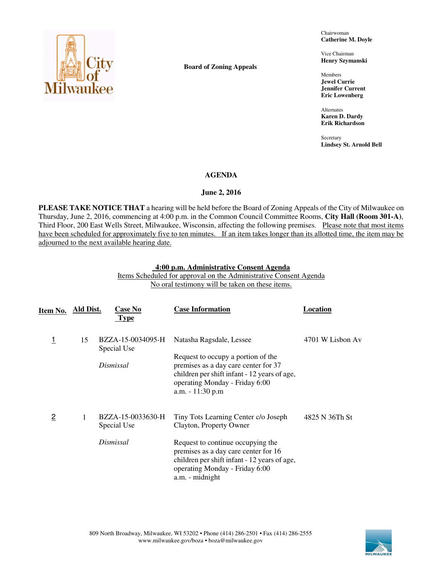

**Board of Zoning Appeals** 

Chairwoman **Catherine M. Doyle** 

Vice Chairman **Henry Szymanski** 

Members **Jewel Currie Jennifer Current Eric Lowenberg** 

Alternates **Karen D. Dardy Erik Richardson** 

**Secretary Lindsey St. Arnold Bell** 

## **AGENDA**

## **June 2, 2016**

**PLEASE TAKE NOTICE THAT** a hearing will be held before the Board of Zoning Appeals of the City of Milwaukee on Thursday, June 2, 2016, commencing at 4:00 p.m. in the Common Council Committee Rooms, **City Hall (Room 301-A)**, Third Floor, 200 East Wells Street, Milwaukee, Wisconsin, affecting the following premises. Please note that most items have been scheduled for approximately five to ten minutes. If an item takes longer than its allotted time, the item may be adjourned to the next available hearing date.

#### **4:00 p.m. Administrative Consent Agenda**  Items Scheduled for approval on the Administrative Consent Agenda No oral testimony will be taken on these items.

| Item No.       | Ald Dist. | <b>Case No</b><br><b>Type</b>                 | <b>Case Information</b>                                                                                                                                                                                                                           | Location         |
|----------------|-----------|-----------------------------------------------|---------------------------------------------------------------------------------------------------------------------------------------------------------------------------------------------------------------------------------------------------|------------------|
| 1              | 15        | BZZA-15-0034095-H<br>Special Use<br>Dismissal | Natasha Ragsdale, Lessee<br>Request to occupy a portion of the<br>premises as a day care center for 37<br>children per shift infant - 12 years of age,<br>operating Monday - Friday 6:00<br>a.m. - 11:30 p.m                                      | 4701 W Lisbon Av |
| $\overline{2}$ | 1         | BZZA-15-0033630-H<br>Special Use<br>Dismissal | Tiny Tots Learning Center c/o Joseph<br>Clayton, Property Owner<br>Request to continue occupying the<br>premises as a day care center for 16<br>children per shift infant - 12 years of age,<br>operating Monday - Friday 6:00<br>a.m. - midnight | 4825 N 36Th St   |

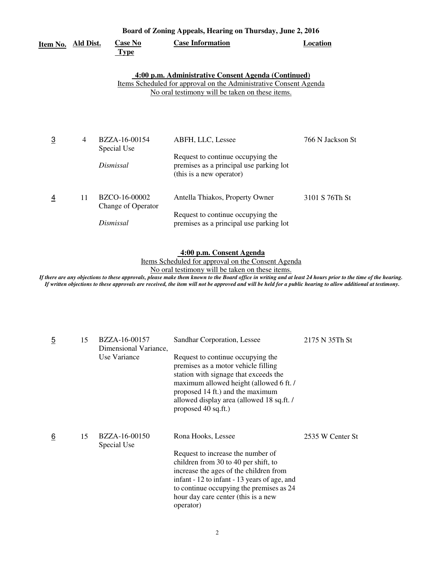|                | Board of Zoning Appeals, Hearing on Thursday, June 2, 2016 |                                                  |                                                                                                                                                                                    |                  |  |
|----------------|------------------------------------------------------------|--------------------------------------------------|------------------------------------------------------------------------------------------------------------------------------------------------------------------------------------|------------------|--|
| Item No.       | <b>Ald Dist.</b>                                           | <b>Case No</b><br><b>Type</b>                    | <b>Case Information</b>                                                                                                                                                            | <b>Location</b>  |  |
|                |                                                            |                                                  | 4:00 p.m. Administrative Consent Agenda (Continued)<br><u>Items Scheduled for approval on the Administrative Consent Agenda</u><br>No oral testimony will be taken on these items. |                  |  |
| $\overline{3}$ | $\overline{4}$                                             | BZZA-16-00154<br>Special Use<br>Dismissal        | ABFH, LLC, Lessee<br>Request to continue occupying the<br>premises as a principal use parking lot<br>(this is a new operator)                                                      | 766 N Jackson St |  |
| $\overline{4}$ | 11                                                         | BZCO-16-00002<br>Change of Operator<br>Dismissal | Antella Thiakos, Property Owner<br>Request to continue occupying the<br>premises as a principal use parking lot                                                                    | 3101 S 76Th St   |  |

## **4:00 p.m. Consent Agenda**

Items Scheduled for approval on the Consent Agenda

No oral testimony will be taken on these items.

*If there are any objections to these approvals, please make them known to the Board office in writing and at least 24 hours prior to the time of the hearing. If written objections to these approvals are received, the item will not be approved and will be held for a public hearing to allow additional at testimony.* 

| <u>5</u> | 15 | BZZA-16-00157<br>Dimensional Variance,<br>Use Variance | Sandhar Corporation, Lessee<br>Request to continue occupying the<br>premises as a motor vehicle filling<br>station with signage that exceeds the<br>maximum allowed height (allowed 6 ft. /<br>proposed 14 ft.) and the maximum<br>allowed display area (allowed 18 sq.ft. /<br>proposed 40 sq.ft.) | 2175 N 35Th St   |
|----------|----|--------------------------------------------------------|-----------------------------------------------------------------------------------------------------------------------------------------------------------------------------------------------------------------------------------------------------------------------------------------------------|------------------|
| 6        | 15 | BZZA-16-00150<br>Special Use                           | Rona Hooks, Lessee<br>Request to increase the number of<br>children from 30 to 40 per shift, to<br>increase the ages of the children from<br>infant - 12 to infant - 13 years of age, and<br>to continue occupying the premises as 24<br>hour day care center (this is a new<br>operator)           | 2535 W Center St |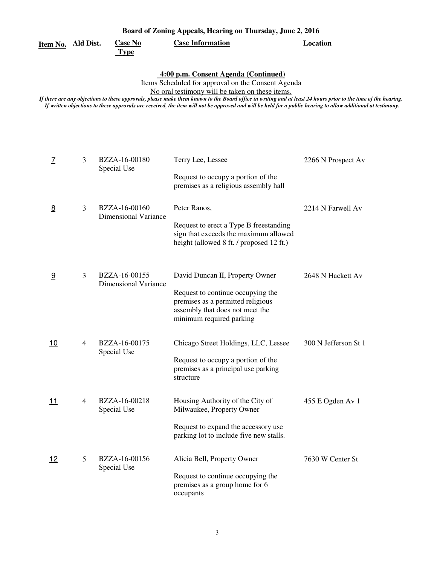|          | Board of Zoning Appeals, Hearing on Thursday, June 2, 2016                                                                                                                                                                                                                                                                                                                                                                                                                     |                              |                                                         |                    |  |  |
|----------|--------------------------------------------------------------------------------------------------------------------------------------------------------------------------------------------------------------------------------------------------------------------------------------------------------------------------------------------------------------------------------------------------------------------------------------------------------------------------------|------------------------------|---------------------------------------------------------|--------------------|--|--|
| Item No. | Ald Dist.                                                                                                                                                                                                                                                                                                                                                                                                                                                                      | <b>Case No</b>               | <b>Case Information</b>                                 | Location           |  |  |
|          |                                                                                                                                                                                                                                                                                                                                                                                                                                                                                | <b>Type</b>                  |                                                         |                    |  |  |
|          | 4:00 p.m. Consent Agenda (Continued)<br>Items Scheduled for approval on the Consent Agenda<br>No oral testimony will be taken on these items.<br>If there are any objections to these approvals, please make them known to the Board office in writing and at least 24 hours prior to the time of the hearing.<br>If written objections to these approvals are received, the item will not be approved and will be held for a public hearing to allow additional at testimony. |                              |                                                         |                    |  |  |
|          | 3                                                                                                                                                                                                                                                                                                                                                                                                                                                                              | BZZA-16-00180<br>Special Use | Terry Lee, Lessee<br>Request to occupy a portion of the | 2266 N Prospect Av |  |  |

|            |                |                                              | premises as a religious assembly hall                                                                                                                                    |                      |
|------------|----------------|----------------------------------------------|--------------------------------------------------------------------------------------------------------------------------------------------------------------------------|----------------------|
| 8          | 3              | BZZA-16-00160<br><b>Dimensional Variance</b> | Peter Ranos,<br>Request to erect a Type B freestanding<br>sign that exceeds the maximum allowed<br>height (allowed 8 ft. / proposed 12 ft.)                              | 2214 N Farwell Av    |
| 9          | 3              | BZZA-16-00155<br><b>Dimensional Variance</b> | David Duncan II, Property Owner<br>Request to continue occupying the<br>premises as a permitted religious<br>assembly that does not meet the<br>minimum required parking | 2648 N Hackett Av    |
| 10         | $\overline{4}$ | BZZA-16-00175<br>Special Use                 | Chicago Street Holdings, LLC, Lessee<br>Request to occupy a portion of the<br>premises as a principal use parking<br>structure                                           | 300 N Jefferson St 1 |
| <u> 11</u> | $\overline{4}$ | BZZA-16-00218<br>Special Use                 | Housing Authority of the City of<br>Milwaukee, Property Owner<br>Request to expand the accessory use<br>parking lot to include five new stalls.                          | 455 E Ogden Av 1     |
| 12         | 5              | BZZA-16-00156<br>Special Use                 | Alicia Bell, Property Owner<br>Request to continue occupying the<br>premises as a group home for 6<br>occupants                                                          | 7630 W Center St     |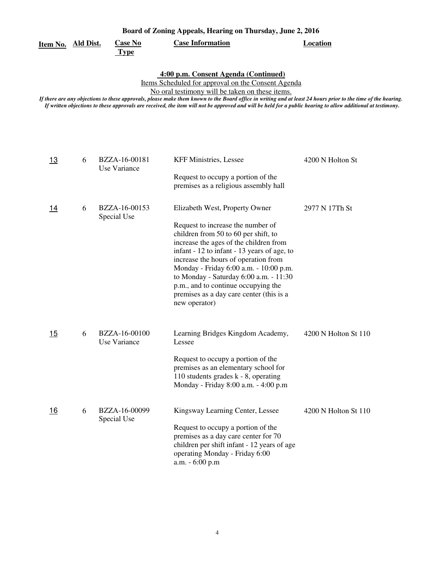| Board of Zoning Appeals, Hearing on Thursday, June 2, 2016 |                |                         |          |  |
|------------------------------------------------------------|----------------|-------------------------|----------|--|
| Item No. Ald Dist.                                         | <b>Case No</b> | <b>Case Information</b> | Location |  |
|                                                            | Type           |                         |          |  |

 **4:00 p.m. Consent Agenda (Continued)** 

Items Scheduled for approval on the Consent Agenda

No oral testimony will be taken on these items.

*If there are any objections to these approvals, please make them known to the Board office in writing and at least 24 hours prior to the time of the hearing. If written objections to these approvals are received, the item will not be approved and will be held for a public hearing to allow additional at testimony.* 

| 13         | 6 | BZZA-16-00181<br>Use Variance | <b>KFF Ministries, Lessee</b>                                                                                                                                                                                                                                                                                                                                                                                                        | 4200 N Holton St     |
|------------|---|-------------------------------|--------------------------------------------------------------------------------------------------------------------------------------------------------------------------------------------------------------------------------------------------------------------------------------------------------------------------------------------------------------------------------------------------------------------------------------|----------------------|
|            |   |                               | Request to occupy a portion of the<br>premises as a religious assembly hall                                                                                                                                                                                                                                                                                                                                                          |                      |
| <u>14</u>  | 6 | BZZA-16-00153<br>Special Use  | Elizabeth West, Property Owner<br>Request to increase the number of<br>children from 50 to 60 per shift, to<br>increase the ages of the children from<br>infant - 12 to infant - 13 years of age, to<br>increase the hours of operation from<br>Monday - Friday 6:00 a.m. - 10:00 p.m.<br>to Monday - Saturday 6:00 a.m. - 11:30<br>p.m., and to continue occupying the<br>premises as a day care center (this is a<br>new operator) | 2977 N 17Th St       |
| 15         | 6 | BZZA-16-00100<br>Use Variance | Learning Bridges Kingdom Academy,<br>Lessee<br>Request to occupy a portion of the<br>premises as an elementary school for<br>110 students grades $k - 8$ , operating<br>Monday - Friday 8:00 a.m. - 4:00 p.m                                                                                                                                                                                                                         | 4200 N Holton St 110 |
| <u> 16</u> | 6 | BZZA-16-00099<br>Special Use  | Kingsway Learning Center, Lessee<br>Request to occupy a portion of the<br>premises as a day care center for 70<br>children per shift infant - 12 years of age<br>operating Monday - Friday 6:00<br>a.m. - 6:00 p.m                                                                                                                                                                                                                   | 4200 N Holton St 110 |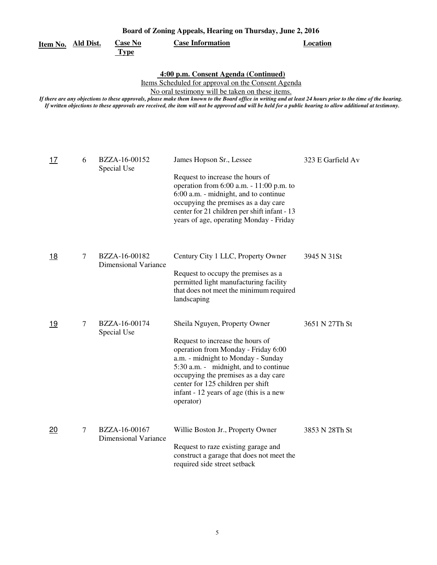|                           | Board of Zoning Appeals, Hearing on Thursday, June 2, 2016 |                                              |                                                                                                                                                                                                                                                                                                                                                                                                                                                                                |                   |  |  |
|---------------------------|------------------------------------------------------------|----------------------------------------------|--------------------------------------------------------------------------------------------------------------------------------------------------------------------------------------------------------------------------------------------------------------------------------------------------------------------------------------------------------------------------------------------------------------------------------------------------------------------------------|-------------------|--|--|
| <u>Item No. Ald Dist.</u> |                                                            | <b>Case No</b><br><b>Type</b>                | <b>Case Information</b>                                                                                                                                                                                                                                                                                                                                                                                                                                                        | <b>Location</b>   |  |  |
|                           |                                                            |                                              | 4:00 p.m. Consent Agenda (Continued)<br>Items Scheduled for approval on the Consent Agenda<br>No oral testimony will be taken on these items.<br>If there are any objections to these approvals, please make them known to the Board office in writing and at least 24 hours prior to the time of the hearing.<br>If written objections to these approvals are received, the item will not be approved and will be held for a public hearing to allow additional at testimony. |                   |  |  |
| <u>17</u>                 | 6                                                          | BZZA-16-00152<br>Special Use                 | James Hopson Sr., Lessee<br>Request to increase the hours of<br>operation from $6:00$ a.m. $-11:00$ p.m. to<br>6:00 a.m. - midnight, and to continue<br>occupying the premises as a day care<br>center for 21 children per shift infant - 13<br>years of age, operating Monday - Friday                                                                                                                                                                                        | 323 E Garfield Av |  |  |
| <u>18</u>                 | 7                                                          | BZZA-16-00182<br><b>Dimensional Variance</b> | Century City 1 LLC, Property Owner<br>Request to occupy the premises as a<br>permitted light manufacturing facility<br>that does not meet the minimum required<br>landscaping                                                                                                                                                                                                                                                                                                  | 3945 N 31St       |  |  |
| 19                        | 7                                                          | BZZA-16-00174<br>Special Use                 | Sheila Nguyen, Property Owner<br>Request to increase the hours of<br>operation from Monday - Friday 6:00<br>a.m. - midnight to Monday - Sunday<br>5:30 a.m. - midnight, and to continue<br>occupying the premises as a day care<br>center for 125 children per shift<br>infant - 12 years of age (this is a new<br>operator)                                                                                                                                                   | 3651 N 27Th St    |  |  |
| 20                        | $\tau$                                                     | BZZA-16-00167<br><b>Dimensional Variance</b> | Willie Boston Jr., Property Owner<br>Request to raze existing garage and<br>construct a garage that does not meet the<br>required side street setback                                                                                                                                                                                                                                                                                                                          | 3853 N 28Th St    |  |  |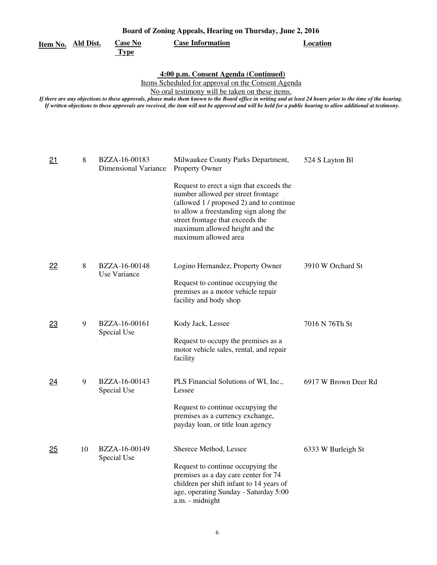| Board of Zoning Appeals, Hearing on Thursday, June 2, 2016 |    |                                              |                                                                                                                                                                                                                                                                                                                                                                                                                                                                                |                      |  |
|------------------------------------------------------------|----|----------------------------------------------|--------------------------------------------------------------------------------------------------------------------------------------------------------------------------------------------------------------------------------------------------------------------------------------------------------------------------------------------------------------------------------------------------------------------------------------------------------------------------------|----------------------|--|
| <u>Item No. Ald Dist.</u>                                  |    | <b>Case No</b><br><b>Type</b>                | <b>Case Information</b>                                                                                                                                                                                                                                                                                                                                                                                                                                                        | <b>Location</b>      |  |
|                                                            |    |                                              | 4:00 p.m. Consent Agenda (Continued)<br>Items Scheduled for approval on the Consent Agenda<br>No oral testimony will be taken on these items.<br>If there are any objections to these approvals, please make them known to the Board office in writing and at least 24 hours prior to the time of the hearing.<br>If written objections to these approvals are received, the item will not be approved and will be held for a public hearing to allow additional at testimony. |                      |  |
| 21                                                         | 8  | BZZA-16-00183<br><b>Dimensional Variance</b> | Milwaukee County Parks Department,<br><b>Property Owner</b><br>Request to erect a sign that exceeds the<br>number allowed per street frontage<br>(allowed 1 / proposed 2) and to continue<br>to allow a freestanding sign along the<br>street frontage that exceeds the<br>maximum allowed height and the<br>maximum allowed area                                                                                                                                              | 524 S Layton Bl      |  |
| 22                                                         | 8  | BZZA-16-00148<br>Use Variance                | Logino Hernandez, Property Owner<br>Request to continue occupying the<br>premises as a motor vehicle repair<br>facility and body shop                                                                                                                                                                                                                                                                                                                                          | 3910 W Orchard St    |  |
| 23                                                         | 9  | BZZA-16-00161<br>Special Use                 | Kody Jack, Lessee<br>Request to occupy the premises as a<br>motor vehicle sales, rental, and repair<br>facility                                                                                                                                                                                                                                                                                                                                                                | 7016 N 76Th St       |  |
| <u>24</u>                                                  | 9  | BZZA-16-00143<br>Special Use                 | PLS Financial Solutions of WI, Inc.,<br>Lessee<br>Request to continue occupying the<br>premises as a currency exchange,<br>payday loan, or title loan agency                                                                                                                                                                                                                                                                                                                   | 6917 W Brown Deer Rd |  |
| 25                                                         | 10 | BZZA-16-00149<br>Special Use                 | Sherece Method, Lessee<br>Request to continue occupying the<br>premises as a day care center for 74<br>children per shift infant to 14 years of<br>age, operating Sunday - Saturday 5:00<br>a.m. - midnight                                                                                                                                                                                                                                                                    | 6333 W Burleigh St   |  |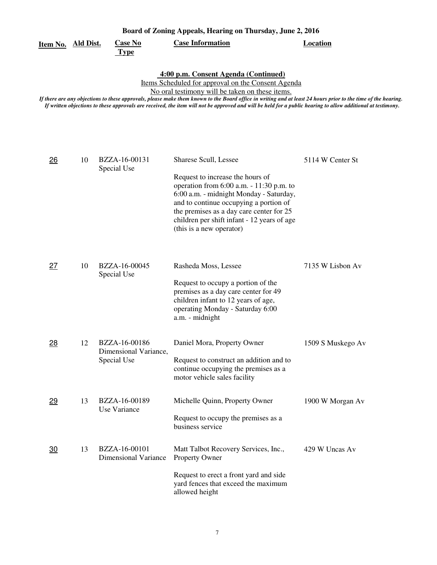| Board of Zoning Appeals, Hearing on Thursday, June 2, 2016 |                  |                                                       |                                                                                                                                                                                                                                                                                                                                                                                                                                                                                |                   |  |
|------------------------------------------------------------|------------------|-------------------------------------------------------|--------------------------------------------------------------------------------------------------------------------------------------------------------------------------------------------------------------------------------------------------------------------------------------------------------------------------------------------------------------------------------------------------------------------------------------------------------------------------------|-------------------|--|
| Item No.                                                   | <b>Ald Dist.</b> | <b>Case No</b><br><b>Type</b>                         | <b>Case Information</b>                                                                                                                                                                                                                                                                                                                                                                                                                                                        | <b>Location</b>   |  |
|                                                            |                  |                                                       | 4:00 p.m. Consent Agenda (Continued)<br>Items Scheduled for approval on the Consent Agenda<br>No oral testimony will be taken on these items.<br>If there are any objections to these approvals, please make them known to the Board office in writing and at least 24 hours prior to the time of the hearing.<br>If written objections to these approvals are received, the item will not be approved and will be held for a public hearing to allow additional at testimony. |                   |  |
| 26                                                         | 10               | BZZA-16-00131<br>Special Use                          | Sharese Scull, Lessee<br>Request to increase the hours of<br>operation from $6:00$ a.m. $-11:30$ p.m. to<br>6:00 a.m. - midnight Monday - Saturday,<br>and to continue occupying a portion of<br>the premises as a day care center for 25<br>children per shift infant - 12 years of age<br>(this is a new operator)                                                                                                                                                           | 5114 W Center St  |  |
| 27                                                         | 10               | BZZA-16-00045<br>Special Use                          | Rasheda Moss, Lessee<br>Request to occupy a portion of the<br>premises as a day care center for 49<br>children infant to 12 years of age,<br>operating Monday - Saturday 6:00<br>a.m. - midnight                                                                                                                                                                                                                                                                               | 7135 W Lisbon Av  |  |
| 28                                                         | 12               | BZZA-16-00186<br>Dimensional Variance,<br>Special Use | Daniel Mora, Property Owner<br>Request to construct an addition and to<br>continue occupying the premises as a<br>motor vehicle sales facility                                                                                                                                                                                                                                                                                                                                 | 1509 S Muskego Av |  |
| 29                                                         | 13               | BZZA-16-00189<br>Use Variance                         | Michelle Quinn, Property Owner<br>Request to occupy the premises as a<br>business service                                                                                                                                                                                                                                                                                                                                                                                      | 1900 W Morgan Av  |  |
| 30                                                         | 13               | BZZA-16-00101<br><b>Dimensional Variance</b>          | Matt Talbot Recovery Services, Inc.,<br>Property Owner<br>Request to erect a front yard and side<br>yard fences that exceed the maximum<br>allowed height                                                                                                                                                                                                                                                                                                                      | 429 W Uncas Av    |  |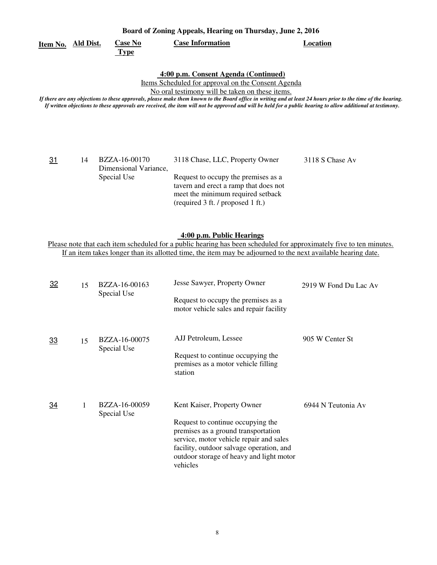| Board of Zoning Appeals, Hearing on Thursday, June 2, 2016                                                                                                                                                                                                                                                                                                                                                                                                                     |           |                                                       |                                                                                                                                                                                           |                 |  |
|--------------------------------------------------------------------------------------------------------------------------------------------------------------------------------------------------------------------------------------------------------------------------------------------------------------------------------------------------------------------------------------------------------------------------------------------------------------------------------|-----------|-------------------------------------------------------|-------------------------------------------------------------------------------------------------------------------------------------------------------------------------------------------|-----------------|--|
| Item No.                                                                                                                                                                                                                                                                                                                                                                                                                                                                       | Ald Dist. | <b>Case No</b><br><b>Type</b>                         | <b>Case Information</b>                                                                                                                                                                   | Location        |  |
| 4:00 p.m. Consent Agenda (Continued)<br>Items Scheduled for approval on the Consent Agenda<br>No oral testimony will be taken on these items.<br>If there are any objections to these approvals, please make them known to the Board office in writing and at least 24 hours prior to the time of the hearing.<br>If written objections to these approvals are received, the item will not be approved and will be held for a public hearing to allow additional at testimony. |           |                                                       |                                                                                                                                                                                           |                 |  |
| 31                                                                                                                                                                                                                                                                                                                                                                                                                                                                             | 14        | BZZA-16-00170<br>Dimensional Variance.<br>Special Use | 3118 Chase, LLC, Property Owner<br>Request to occupy the premises as a<br>tavern and erect a ramp that does not<br>meet the minimum required setback<br>(required 3 ft. / proposed 1 ft.) | 3118 S Chase Av |  |

# **4:00 p.m. Public Hearings**

Please note that each item scheduled for a public hearing has been scheduled for approximately five to ten minutes. If an item takes longer than its allotted time, the item may be adjourned to the next available hearing date.

| 32        | 15 | BZZA-16-00163<br>Special Use | Jesse Sawyer, Property Owner<br>Request to occupy the premises as a<br>motor vehicle sales and repair facility                                                                                                                                         | 2919 W Fond Du Lac Av |
|-----------|----|------------------------------|--------------------------------------------------------------------------------------------------------------------------------------------------------------------------------------------------------------------------------------------------------|-----------------------|
| <u>33</u> | 15 | BZZA-16-00075<br>Special Use | AJJ Petroleum, Lessee<br>Request to continue occupying the<br>premises as a motor vehicle filling<br>station                                                                                                                                           | 905 W Center St       |
| 34        | 1  | BZZA-16-00059<br>Special Use | Kent Kaiser, Property Owner<br>Request to continue occupying the<br>premises as a ground transportation<br>service, motor vehicle repair and sales<br>facility, outdoor salvage operation, and<br>outdoor storage of heavy and light motor<br>vehicles | 6944 N Teutonia Av    |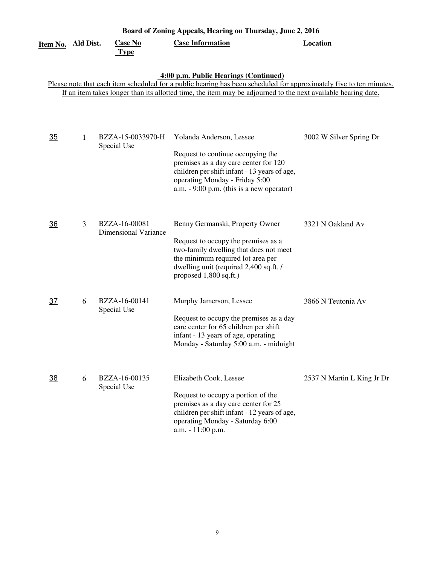| <u>Item No. Ald Dist.</u> |   | <b>Case No</b><br><b>Type</b>                | Board of Zoning Appeals, Hearing on Thursday, June 2, 2016<br><b>Case Information</b>                                                                                                                                                                                         | <b>Location</b>            |
|---------------------------|---|----------------------------------------------|-------------------------------------------------------------------------------------------------------------------------------------------------------------------------------------------------------------------------------------------------------------------------------|----------------------------|
|                           |   |                                              | 4:00 p.m. Public Hearings (Continued)<br>Please note that each item scheduled for a public hearing has been scheduled for approximately five to ten minutes.<br>If an item takes longer than its allotted time, the item may be adjourned to the next available hearing date. |                            |
| <u>35</u>                 | 1 | BZZA-15-0033970-H<br>Special Use             | Yolanda Anderson, Lessee<br>Request to continue occupying the<br>premises as a day care center for 120<br>children per shift infant - 13 years of age,<br>operating Monday - Friday 5:00<br>a.m. $-9:00$ p.m. (this is a new operator)                                        | 3002 W Silver Spring Dr    |
| $\overline{36}$           | 3 | BZZA-16-00081<br><b>Dimensional Variance</b> | Benny Germanski, Property Owner<br>Request to occupy the premises as a<br>two-family dwelling that does not meet<br>the minimum required lot area per<br>dwelling unit (required 2,400 sq.ft. /<br>proposed 1,800 sq.ft.)                                                     | 3321 N Oakland Av          |
| $\overline{37}$           | 6 | BZZA-16-00141<br>Special Use                 | Murphy Jamerson, Lessee<br>Request to occupy the premises as a day<br>care center for 65 children per shift<br>infant - 13 years of age, operating<br>Monday - Saturday 5:00 a.m. - midnight                                                                                  | 3866 N Teutonia Av         |
| <u>38</u>                 | 6 | BZZA-16-00135<br>Special Use                 | Elizabeth Cook, Lessee<br>Request to occupy a portion of the<br>premises as a day care center for 25<br>children per shift infant - 12 years of age,<br>operating Monday - Saturday 6:00<br>a.m. - 11:00 p.m.                                                                 | 2537 N Martin L King Jr Dr |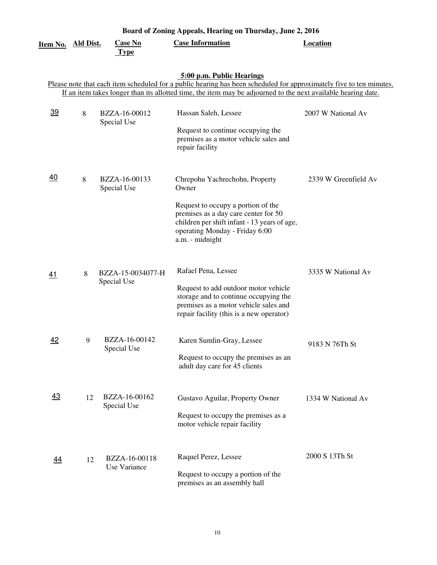|                 |                  |                                  | Board of Zoning Appeals, Hearing on Thursday, June 2, 2016                                                                                                                                                                                                        |                      |
|-----------------|------------------|----------------------------------|-------------------------------------------------------------------------------------------------------------------------------------------------------------------------------------------------------------------------------------------------------------------|----------------------|
| Item No.        | <b>Ald Dist.</b> | <b>Case No</b><br><b>Type</b>    | <b>Case Information</b>                                                                                                                                                                                                                                           | <b>Location</b>      |
|                 |                  |                                  | 5:00 p.m. Public Hearings<br>Please note that each item scheduled for a public hearing has been scheduled for approximately five to ten minutes.<br>If an item takes longer than its allotted time, the item may be adjourned to the next available hearing date. |                      |
| $\overline{39}$ | 8                | BZZA-16-00012<br>Special Use     | Hassan Saleh, Lessee<br>Request to continue occupying the<br>premises as a motor vehicle sales and<br>repair facility                                                                                                                                             | 2007 W National Av   |
| 40              | 8                | BZZA-16-00133<br>Special Use     | Chrepohu Yachrechohn, Property<br>Owner<br>Request to occupy a portion of the<br>premises as a day care center for 50<br>children per shift infant - 13 years of age,<br>operating Monday - Friday 6:00<br>a.m. - midnight                                        | 2339 W Greenfield Av |
| 41              | 8                | BZZA-15-0034077-H<br>Special Use | Rafael Pena, Lessee<br>Request to add outdoor motor vehicle<br>storage and to continue occupying the<br>premises as a motor vehicle sales and<br>repair facility (this is a new operator)                                                                         | 3335 W National Av   |
| 42              | 9                | BZZA-16-00142<br>Special Use     | Karen Sumlin-Gray, Lessee<br>Request to occupy the premises as an<br>adult day care for 45 clients                                                                                                                                                                | 9183 N 76Th St       |
| 43              | 12               | BZZA-16-00162<br>Special Use     | Gustavo Aguilar, Property Owner<br>Request to occupy the premises as a<br>motor vehicle repair facility                                                                                                                                                           | 1334 W National Av   |
| 44              | 12               | BZZA-16-00118<br>Use Variance    | Raquel Perez, Lessee<br>Request to occupy a portion of the<br>premises as an assembly hall                                                                                                                                                                        | 2000 S 13Th St       |